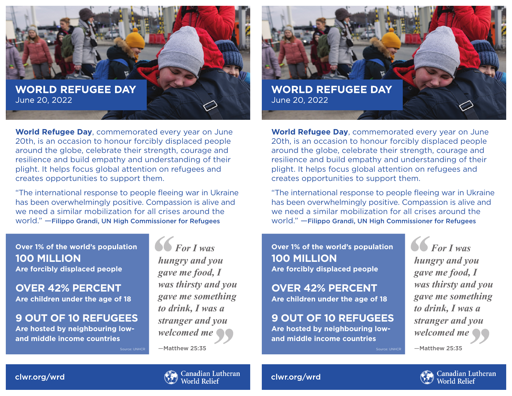

**World Refugee Day**, commemorated every year on June 20th, is an occasion to honour forcibly displaced people around the globe, celebrate their strength, courage and resilience and build empathy and understanding of their plight. It helps focus global attention on refugees and creates opportunities to support them.

"The international response to people fleeing war in Ukraine has been overwhelmingly positive. Compassion is alive and we need a similar mobilization for all crises around the world." —Filippo Grandi, UN High Commissioner for Refugees

Source: UNHCR

**Over 1% of the world's population 100 MILLION Are forcibly displaced people**

**OVER 42% PERCENT Are children under the age of 18**

**9 OUT OF 10 REFUGEES Are hosted by neighbouring low-**

**and middle income countries**

*For I was hungry and you gave me food, I was thirsty and you gave me something to drink, I was a stranger and you welcomed me*

—Matthew 25:35



**World Refugee Day**, commemorated every year on June 20th, is an occasion to honour forcibly displaced people around the globe, celebrate their strength, courage and resilience and build empathy and understanding of their plight. It helps focus global attention on refugees and creates opportunities to support them.

"The international response to people fleeing war in Ukraine has been overwhelmingly positive. Compassion is alive and we need a similar mobilization for all crises around the world." —Filippo Grandi, UN High Commissioner for Refugees

Source: UNHCR

**Over 1% of the world's population 100 MILLION Are forcibly displaced people**

**OVER 42% PERCENT Are children under the age of 18**

**9 OUT OF 10 REFUGEES Are hosted by neighbouring lowand middle income countries**

*For I was hungry and you gave me food, I was thirsty and you gave me something to drink, I was a stranger and you welcomed me*

Canadian Lutheran

**World Relief** 

—Matthew 25:35

**Canadian Lutheran**<br>World Relief

clwr.org/wrd